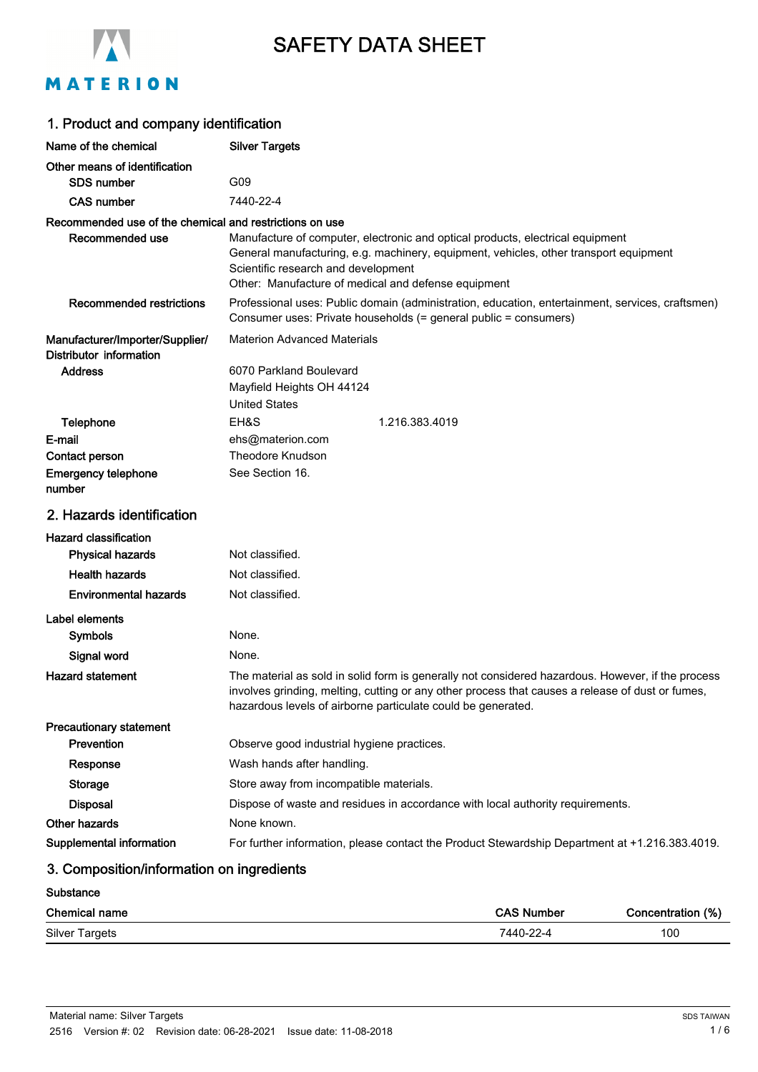

# SAFETY DATA SHEET

# MATERION

| 1. Product and company identification                      |                                                                                                                                                                                                                                                                       |  |  |
|------------------------------------------------------------|-----------------------------------------------------------------------------------------------------------------------------------------------------------------------------------------------------------------------------------------------------------------------|--|--|
| Name of the chemical                                       | <b>Silver Targets</b>                                                                                                                                                                                                                                                 |  |  |
| Other means of identification                              |                                                                                                                                                                                                                                                                       |  |  |
| <b>SDS</b> number                                          | G09                                                                                                                                                                                                                                                                   |  |  |
| <b>CAS number</b>                                          | 7440-22-4                                                                                                                                                                                                                                                             |  |  |
| Recommended use of the chemical and restrictions on use    |                                                                                                                                                                                                                                                                       |  |  |
| Recommended use                                            | Manufacture of computer, electronic and optical products, electrical equipment<br>General manufacturing, e.g. machinery, equipment, vehicles, other transport equipment<br>Scientific research and development<br>Other: Manufacture of medical and defense equipment |  |  |
| <b>Recommended restrictions</b>                            | Professional uses: Public domain (administration, education, entertainment, services, craftsmen)<br>Consumer uses: Private households (= general public = consumers)                                                                                                  |  |  |
| Manufacturer/Importer/Supplier/<br>Distributor information | <b>Materion Advanced Materials</b>                                                                                                                                                                                                                                    |  |  |
| <b>Address</b>                                             | 6070 Parkland Boulevard                                                                                                                                                                                                                                               |  |  |
|                                                            | Mayfield Heights OH 44124                                                                                                                                                                                                                                             |  |  |
|                                                            | <b>United States</b>                                                                                                                                                                                                                                                  |  |  |
| Telephone                                                  | EH&S<br>1.216.383.4019                                                                                                                                                                                                                                                |  |  |
| E-mail                                                     | ehs@materion.com                                                                                                                                                                                                                                                      |  |  |
| Contact person                                             | <b>Theodore Knudson</b>                                                                                                                                                                                                                                               |  |  |
| <b>Emergency telephone</b><br>number                       | See Section 16.                                                                                                                                                                                                                                                       |  |  |
| 2. Hazards identification                                  |                                                                                                                                                                                                                                                                       |  |  |
| <b>Hazard classification</b>                               |                                                                                                                                                                                                                                                                       |  |  |
| <b>Physical hazards</b>                                    | Not classified.                                                                                                                                                                                                                                                       |  |  |
| <b>Health hazards</b>                                      | Not classified.                                                                                                                                                                                                                                                       |  |  |
| <b>Environmental hazards</b>                               | Not classified.                                                                                                                                                                                                                                                       |  |  |
| Label elements                                             |                                                                                                                                                                                                                                                                       |  |  |
| <b>Symbols</b>                                             | None.                                                                                                                                                                                                                                                                 |  |  |
| Signal word                                                | None.                                                                                                                                                                                                                                                                 |  |  |
| <b>Hazard statement</b>                                    | The material as sold in solid form is generally not considered hazardous. However, if the process<br>involves grinding, melting, cutting or any other process that causes a release of dust or fumes,<br>hazardous levels of airborne particulate could be generated. |  |  |
| <b>Precautionary statement</b>                             |                                                                                                                                                                                                                                                                       |  |  |
| Prevention                                                 | Observe good industrial hygiene practices.                                                                                                                                                                                                                            |  |  |
| Response                                                   | Wash hands after handling.                                                                                                                                                                                                                                            |  |  |
| <b>Storage</b>                                             | Store away from incompatible materials.                                                                                                                                                                                                                               |  |  |
| <b>Disposal</b>                                            | Dispose of waste and residues in accordance with local authority requirements.                                                                                                                                                                                        |  |  |
| <b>Other hazards</b>                                       | None known.                                                                                                                                                                                                                                                           |  |  |
| Supplemental information                                   | For further information, please contact the Product Stewardship Department at +1.216.383.4019.                                                                                                                                                                        |  |  |
| 3. Composition/information on ingredients                  |                                                                                                                                                                                                                                                                       |  |  |

## **Substance**

| <b>Chemical name</b>  | אי<br><b>Number</b> | (% , )<br>≀ntration |
|-----------------------|---------------------|---------------------|
| <b>Silver Targets</b> | ົດດ<br>7440.        | 100                 |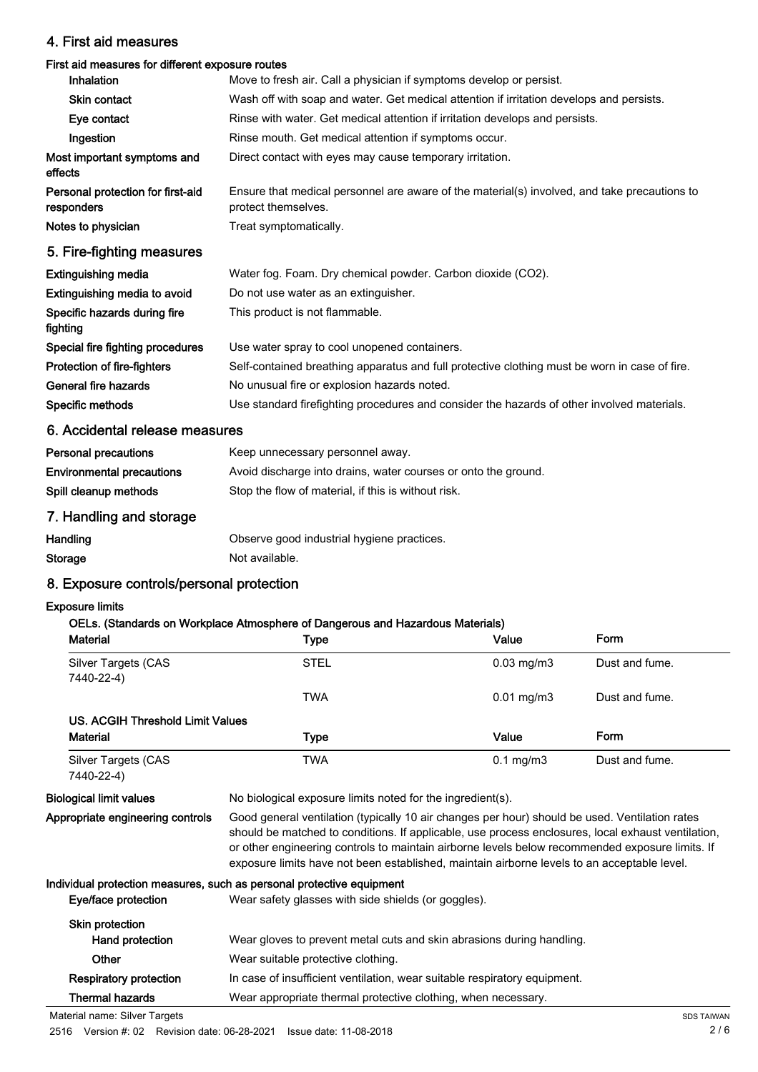# 4. First aid measures

# First aid measures for different exposure routes

| <b>Inhalation</b>                               | Move to fresh air. Call a physician if symptoms develop or persist.                                                 |  |  |
|-------------------------------------------------|---------------------------------------------------------------------------------------------------------------------|--|--|
| <b>Skin contact</b>                             | Wash off with soap and water. Get medical attention if irritation develops and persists.                            |  |  |
| Eye contact                                     | Rinse with water. Get medical attention if irritation develops and persists.                                        |  |  |
| Ingestion                                       | Rinse mouth. Get medical attention if symptoms occur.                                                               |  |  |
| Most important symptoms and<br>effects          | Direct contact with eyes may cause temporary irritation.                                                            |  |  |
| Personal protection for first-aid<br>responders | Ensure that medical personnel are aware of the material(s) involved, and take precautions to<br>protect themselves. |  |  |
| Notes to physician                              | Treat symptomatically.                                                                                              |  |  |
| 5. Fire-fighting measures                       |                                                                                                                     |  |  |
| <b>Extinguishing media</b>                      | Water fog. Foam. Dry chemical powder. Carbon dioxide (CO2).                                                         |  |  |
| Extinguishing media to avoid                    | Do not use water as an extinguisher.                                                                                |  |  |
| Specific hazards during fire                    | This product is not flammable.                                                                                      |  |  |

fighting Special fire fighting procedures Use water spray to cool unopened containers. Protection of fire-fighters Self-contained breathing apparatus and full protective clothing must be worn in case of fire. General fire hazards **No unusual fire or explosion hazards noted.** No unusual fire or explosion hazards noted. Specific methods Use standard firefighting procedures and consider the hazards of other involved materials.

# 6. Accidental release measures

| <b>Personal precautions</b>      | Keep unnecessary personnel away.                               |
|----------------------------------|----------------------------------------------------------------|
| <b>Environmental precautions</b> | Avoid discharge into drains, water courses or onto the ground. |
| Spill cleanup methods            | Stop the flow of material, if this is without risk.            |

# 7. Handling and storage

| Handling | Observe good industrial hygiene practices. |
|----------|--------------------------------------------|
| Storage  | Not available.                             |

# 8. Exposure controls/personal protection

#### Exposure limits

# OELs. (Standards on Workplace Atmosphere of Dangerous and Hazardous Materials)

| <b>Material</b>                          | Type                                                                                                                                                                                                                                                                                                                                                                                                   | Value                | Form           |
|------------------------------------------|--------------------------------------------------------------------------------------------------------------------------------------------------------------------------------------------------------------------------------------------------------------------------------------------------------------------------------------------------------------------------------------------------------|----------------------|----------------|
| Silver Targets (CAS<br>7440-22-4)        | <b>STEL</b>                                                                                                                                                                                                                                                                                                                                                                                            | $0.03$ mg/m $3$      | Dust and fume. |
|                                          | <b>TWA</b>                                                                                                                                                                                                                                                                                                                                                                                             | $0.01$ mg/m $3$      | Dust and fume. |
| US. ACGIH Threshold Limit Values         |                                                                                                                                                                                                                                                                                                                                                                                                        |                      |                |
| <b>Material</b>                          | Type                                                                                                                                                                                                                                                                                                                                                                                                   | Value                | Form           |
| <b>Silver Targets (CAS</b><br>7440-22-4) | <b>TWA</b>                                                                                                                                                                                                                                                                                                                                                                                             | $0.1 \text{ mg/m}$ 3 | Dust and fume. |
| <b>Biological limit values</b>           | No biological exposure limits noted for the ingredient(s).                                                                                                                                                                                                                                                                                                                                             |                      |                |
| Appropriate engineering controls         | Good general ventilation (typically 10 air changes per hour) should be used. Ventilation rates<br>should be matched to conditions. If applicable, use process enclosures, local exhaust ventilation,<br>or other engineering controls to maintain airborne levels below recommended exposure limits. If<br>exposure limits have not been established, maintain airborne levels to an acceptable level. |                      |                |
|                                          | Individual protection measures, such as personal protective equipment                                                                                                                                                                                                                                                                                                                                  |                      |                |
| Eye/face protection                      | Wear safety glasses with side shields (or goggles).                                                                                                                                                                                                                                                                                                                                                    |                      |                |
| Skin protection                          |                                                                                                                                                                                                                                                                                                                                                                                                        |                      |                |
| Hand protection                          | Wear gloves to prevent metal cuts and skin abrasions during handling.                                                                                                                                                                                                                                                                                                                                  |                      |                |
| Other                                    | Wear suitable protective clothing.                                                                                                                                                                                                                                                                                                                                                                     |                      |                |

Respiratory protection In case of insufficient ventilation, wear suitable respiratory equipment.

Thermal hazards Wear appropriate thermal protective clothing, when necessary.

Material name: Silver Targets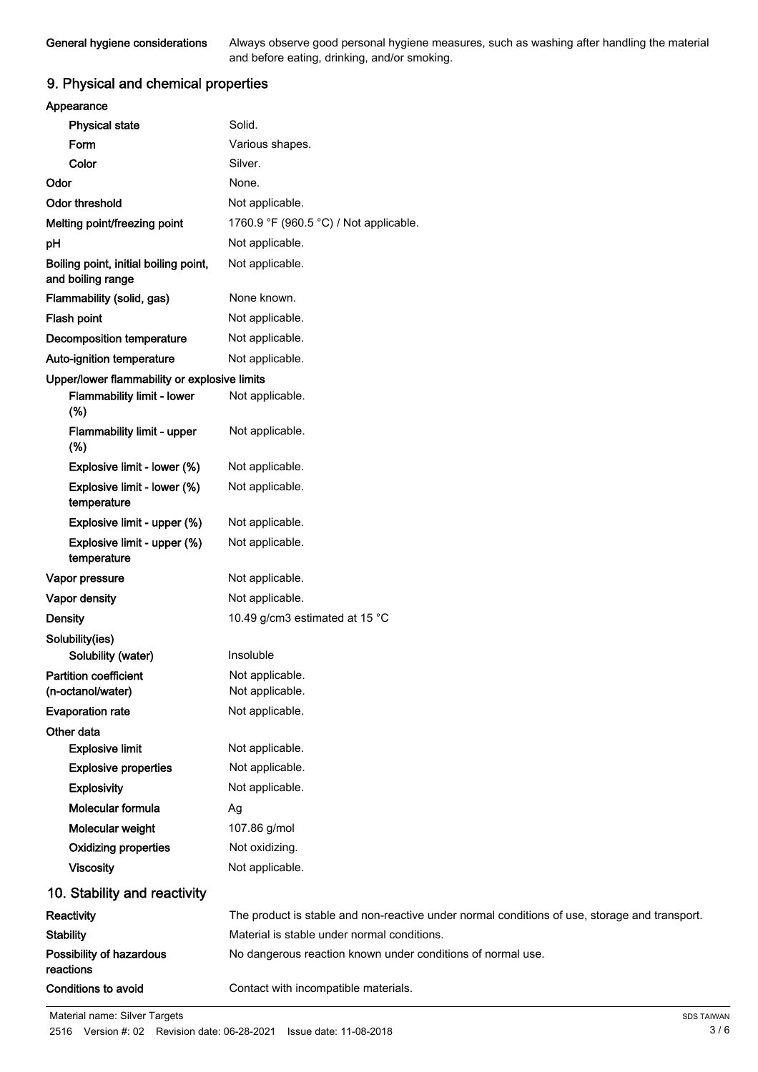Always observe good personal hygiene measures, such as washing after handling the material and before eating, drinking, and/or smoking.

# 9. Physical and chemical properties

| Appearance                                                 |                                                                                               |
|------------------------------------------------------------|-----------------------------------------------------------------------------------------------|
| <b>Physical state</b>                                      | Solid.                                                                                        |
| Form                                                       | Various shapes.                                                                               |
| Color                                                      | Silver.                                                                                       |
| Odor                                                       | None.                                                                                         |
| <b>Odor threshold</b>                                      | Not applicable.                                                                               |
| Melting point/freezing point                               | 1760.9 °F (960.5 °C) / Not applicable.                                                        |
| pH                                                         | Not applicable.                                                                               |
| Boiling point, initial boiling point,<br>and boiling range | Not applicable.                                                                               |
| Flammability (solid, gas)                                  | None known.                                                                                   |
| Flash point                                                | Not applicable.                                                                               |
| <b>Decomposition temperature</b>                           | Not applicable.                                                                               |
| Auto-ignition temperature                                  | Not applicable.                                                                               |
| Upper/lower flammability or explosive limits               |                                                                                               |
| Flammability limit - lower<br>(%)                          | Not applicable.                                                                               |
| Flammability limit - upper<br>(%)                          | Not applicable.                                                                               |
| Explosive limit - lower (%)                                | Not applicable.                                                                               |
| Explosive limit - lower (%)<br>temperature                 | Not applicable.                                                                               |
| Explosive limit - upper (%)                                | Not applicable.                                                                               |
| Explosive limit - upper (%)<br>temperature                 | Not applicable.                                                                               |
| Vapor pressure                                             | Not applicable.                                                                               |
| Vapor density                                              | Not applicable.                                                                               |
| <b>Density</b>                                             | 10.49 g/cm3 estimated at 15 °C                                                                |
| Solubility(ies)                                            |                                                                                               |
| Solubility (water)                                         | Insoluble                                                                                     |
| <b>Partition coefficient</b>                               | Not applicable.                                                                               |
| (n-octanol/water)                                          | Not applicable.                                                                               |
| <b>Evaporation rate</b>                                    | Not applicable.                                                                               |
| Other data                                                 |                                                                                               |
| <b>Explosive limit</b>                                     | Not applicable.                                                                               |
| <b>Explosive properties</b><br><b>Explosivity</b>          | Not applicable.                                                                               |
| Molecular formula                                          | Not applicable.                                                                               |
|                                                            | Ag                                                                                            |
| Molecular weight<br><b>Oxidizing properties</b>            | 107.86 g/mol<br>Not oxidizing.                                                                |
| <b>Viscosity</b>                                           | Not applicable.                                                                               |
|                                                            |                                                                                               |
| 10. Stability and reactivity                               |                                                                                               |
| Reactivity                                                 | The product is stable and non-reactive under normal conditions of use, storage and transport. |
| <b>Stability</b>                                           | Material is stable under normal conditions.                                                   |
| Possibility of hazardous<br>reactions                      | No dangerous reaction known under conditions of normal use.                                   |
| <b>Conditions to avoid</b>                                 | Contact with incompatible materials.                                                          |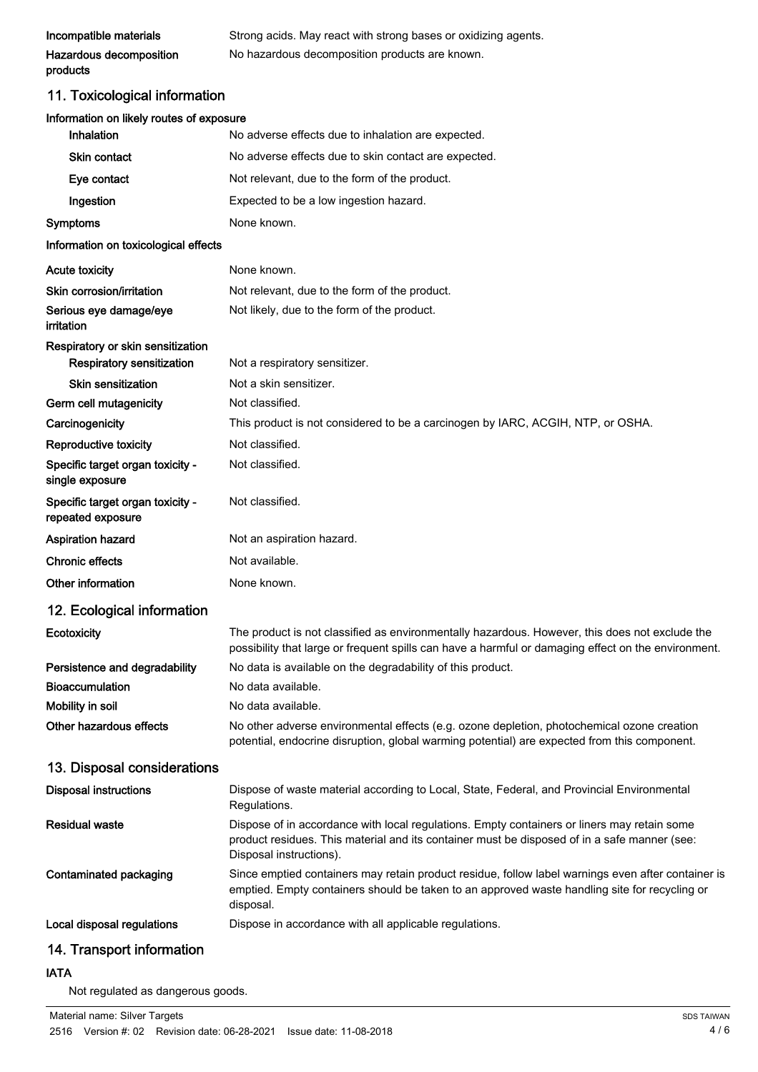| Incompatible materials                                 | Strong acids. May react with strong bases or oxidizing agents.                                                                                                                                                         |
|--------------------------------------------------------|------------------------------------------------------------------------------------------------------------------------------------------------------------------------------------------------------------------------|
| Hazardous decomposition<br>products                    | No hazardous decomposition products are known.                                                                                                                                                                         |
| 11. Toxicological information                          |                                                                                                                                                                                                                        |
| Information on likely routes of exposure<br>Inhalation | No adverse effects due to inhalation are expected.                                                                                                                                                                     |
| <b>Skin contact</b>                                    | No adverse effects due to skin contact are expected.                                                                                                                                                                   |
| Eye contact                                            | Not relevant, due to the form of the product.                                                                                                                                                                          |
| Ingestion                                              | Expected to be a low ingestion hazard.                                                                                                                                                                                 |
| Symptoms                                               | None known.                                                                                                                                                                                                            |
| Information on toxicological effects                   |                                                                                                                                                                                                                        |
| <b>Acute toxicity</b>                                  | None known.                                                                                                                                                                                                            |
| Skin corrosion/irritation                              | Not relevant, due to the form of the product.                                                                                                                                                                          |
| Serious eye damage/eye<br>irritation                   | Not likely, due to the form of the product.                                                                                                                                                                            |
| Respiratory or skin sensitization                      |                                                                                                                                                                                                                        |
| Respiratory sensitization                              | Not a respiratory sensitizer.                                                                                                                                                                                          |
| <b>Skin sensitization</b>                              | Not a skin sensitizer.                                                                                                                                                                                                 |
| Germ cell mutagenicity                                 | Not classified.                                                                                                                                                                                                        |
| Carcinogenicity                                        | This product is not considered to be a carcinogen by IARC, ACGIH, NTP, or OSHA.                                                                                                                                        |
| Reproductive toxicity                                  | Not classified.                                                                                                                                                                                                        |
| Specific target organ toxicity -<br>single exposure    | Not classified.                                                                                                                                                                                                        |
| Specific target organ toxicity -<br>repeated exposure  | Not classified.                                                                                                                                                                                                        |
| <b>Aspiration hazard</b>                               | Not an aspiration hazard.                                                                                                                                                                                              |
| <b>Chronic effects</b>                                 | Not available.                                                                                                                                                                                                         |
| Other information                                      | None known.                                                                                                                                                                                                            |
| 12. Ecological information                             |                                                                                                                                                                                                                        |
| Ecotoxicity                                            | The product is not classified as environmentally hazardous. However, this does not exclude the<br>possibility that large or frequent spills can have a harmful or damaging effect on the environment.                  |
| Persistence and degradability                          | No data is available on the degradability of this product.                                                                                                                                                             |
| <b>Bioaccumulation</b>                                 | No data available.                                                                                                                                                                                                     |
| Mobility in soil                                       | No data available.                                                                                                                                                                                                     |
| Other hazardous effects                                | No other adverse environmental effects (e.g. ozone depletion, photochemical ozone creation<br>potential, endocrine disruption, global warming potential) are expected from this component.                             |
| 13. Disposal considerations                            |                                                                                                                                                                                                                        |
| <b>Disposal instructions</b>                           | Dispose of waste material according to Local, State, Federal, and Provincial Environmental<br>Regulations.                                                                                                             |
| <b>Residual waste</b>                                  | Dispose of in accordance with local regulations. Empty containers or liners may retain some<br>product residues. This material and its container must be disposed of in a safe manner (see:<br>Disposal instructions). |
| <b>Contaminated packaging</b>                          | Since emptied containers may retain product residue, follow label warnings even after container is<br>emptied. Empty containers should be taken to an approved waste handling site for recycling or<br>disposal.       |
| Local disposal regulations                             | Dispose in accordance with all applicable regulations.                                                                                                                                                                 |
| 14. Transport information                              |                                                                                                                                                                                                                        |

# IATA

Not regulated as dangerous goods.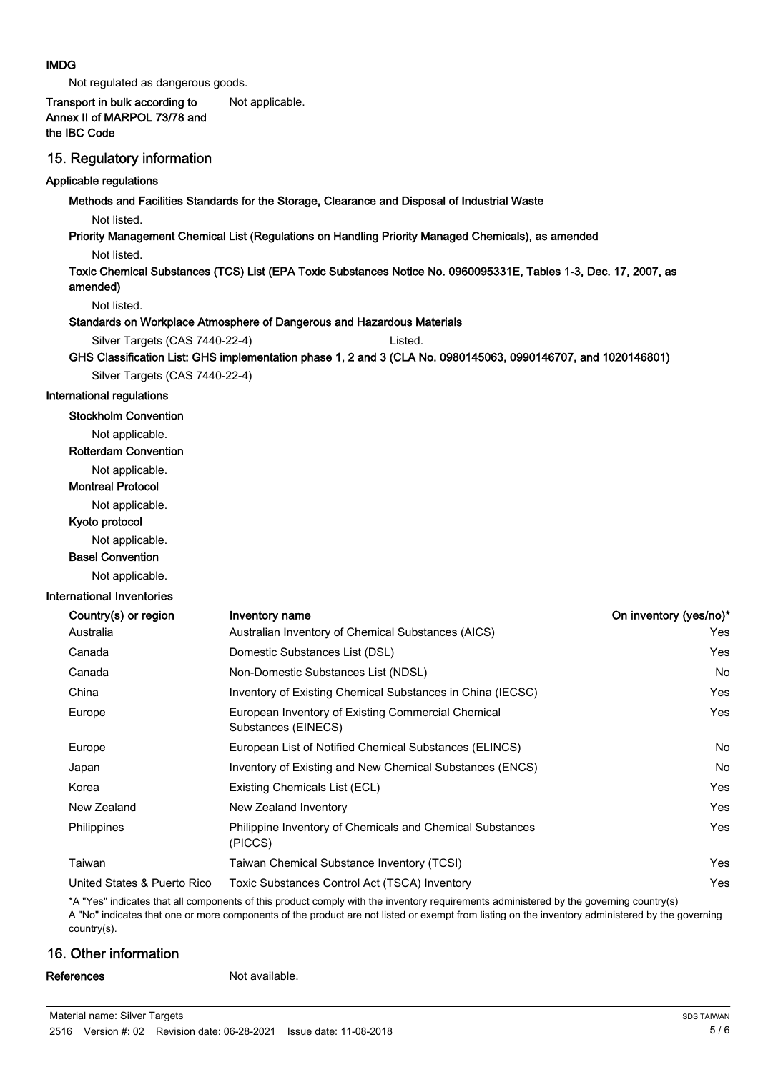#### IMDG

Not regulated as dangerous goods.

# Transport in bulk according to Not applicable. Annex II of MARPOL 73/78 and the IBC Code

### 15. Regulatory information

#### Applicable regulations

Methods and Facilities Standards for the Storage, Clearance and Disposal of Industrial Waste

Not listed.

#### Priority Management Chemical List (Regulations on Handling Priority Managed Chemicals), as amended

Not listed.

Toxic Chemical Substances (TCS) List (EPA Toxic Substances Notice No. 0960095331E, Tables 1-3, Dec. 17, 2007, as amended)

Not listed.

#### Standards on Workplace Atmosphere of Dangerous and Hazardous Materials

```
Silver Targets (CAS 7440-22-4) Listed.
```
GHS Classification List: GHS implementation phase 1, 2 and 3 (CLA No. 0980145063, 0990146707, and 1020146801)

Silver Targets (CAS 7440-22-4)

#### International regulations

Stockholm Convention

Not applicable. Rotterdam Convention

Not applicable. Montreal Protocol

Not applicable.

Kyoto protocol

Not applicable.

Basel Convention

Not applicable.

#### International Inventories

| Country(s) or region        | Inventory name                                                              | On inventory (yes/no)* |
|-----------------------------|-----------------------------------------------------------------------------|------------------------|
| Australia                   | Australian Inventory of Chemical Substances (AICS)                          | Yes                    |
| Canada                      | Domestic Substances List (DSL)                                              | Yes                    |
| Canada                      | Non-Domestic Substances List (NDSL)                                         | No                     |
| China                       | Inventory of Existing Chemical Substances in China (IECSC)                  | Yes                    |
| Europe                      | European Inventory of Existing Commercial Chemical<br>Substances (EINECS)   | Yes                    |
| Europe                      | European List of Notified Chemical Substances (ELINCS)                      | No                     |
| Japan                       | Inventory of Existing and New Chemical Substances (ENCS)                    | No                     |
| Korea                       | Existing Chemicals List (ECL)                                               | Yes                    |
| New Zealand                 | New Zealand Inventory                                                       | Yes                    |
| Philippines                 | <b>Philippine Inventory of Chemicals and Chemical Substances</b><br>(PICCS) | Yes                    |
| Taiwan                      | Taiwan Chemical Substance Inventory (TCSI)                                  | Yes                    |
| United States & Puerto Rico | Toxic Substances Control Act (TSCA) Inventory                               | Yes                    |

\*A "Yes" indicates that all components of this product comply with the inventory requirements administered by the governing country(s) A "No" indicates that one or more components of the product are not listed or exempt from listing on the inventory administered by the governing country(s).

# 16. Other information

References Not available.